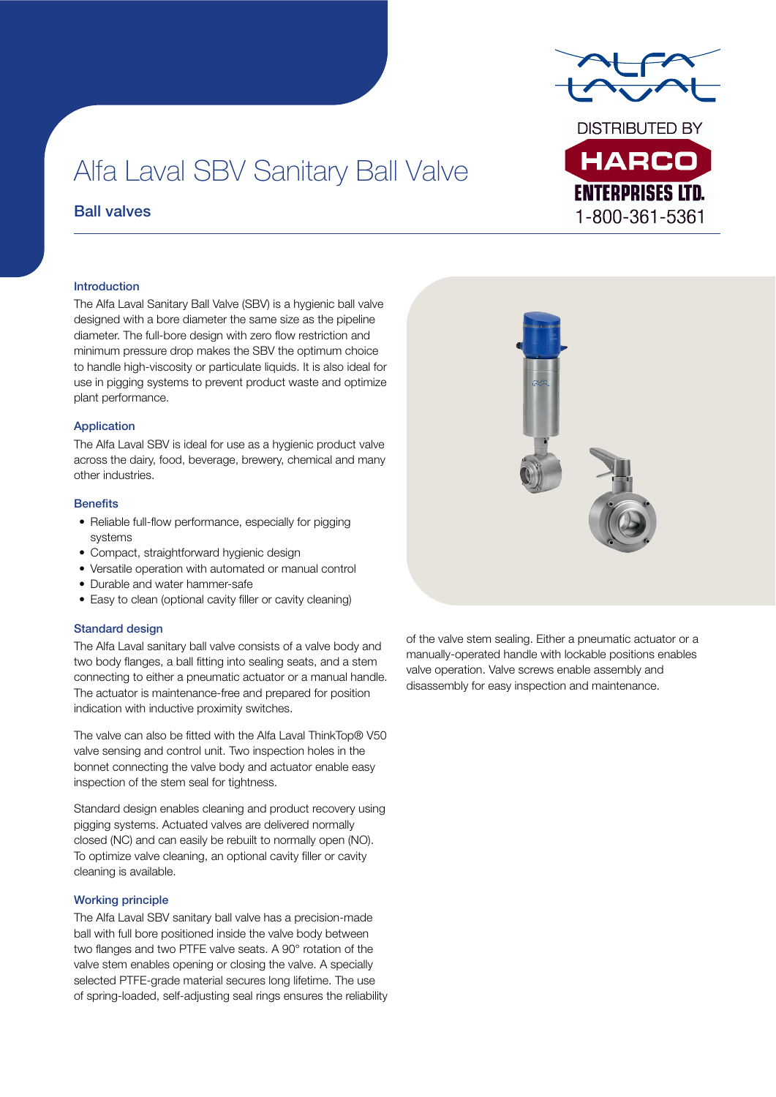

**ENTERPRISES LTD.** 1-800-361-5361

# Alfa Laval SBV Sanitary Ball Valve

## Ball valves

## Introduction

The Alfa Laval Sanitary Ball Valve (SBV) is a hygienic ball valve designed with a bore diameter the same size as the pipeline diameter. The full-bore design with zero flow restriction and minimum pressure drop makes the SBV the optimum choice to handle high-viscosity or particulate liquids. It is also ideal for use in pigging systems to prevent product waste and optimize plant performance.

## Application

The Alfa Laval SBV is ideal for use as a hygienic product valve across the dairy, food, beverage, brewery, chemical and many other industries.

## **Benefits**

- Reliable full-flow performance, especially for pigging systems
- Compact, straightforward hygienic design
- Versatile operation with automated or manual control
- Durable and water hammer-safe
- Easy to clean (optional cavity filler or cavity cleaning)

## Standard design

The Alfa Laval sanitary ball valve consists of a valve body and two body flanges, a ball fitting into sealing seats, and a stem connecting to either a pneumatic actuator or a manual handle. The actuator is maintenance-free and prepared for position indication with inductive proximity switches.

The valve can also be fitted with the Alfa Laval ThinkTop® V50 valve sensing and control unit. Two inspection holes in the bonnet connecting the valve body and actuator enable easy inspection of the stem seal for tightness.

Standard design enables cleaning and product recovery using pigging systems. Actuated valves are delivered normally closed (NC) and can easily be rebuilt to normally open (NO). To optimize valve cleaning, an optional cavity filler or cavity cleaning is available.

## Working principle

The Alfa Laval SBV sanitary ball valve has a precision-made ball with full bore positioned inside the valve body between two flanges and two PTFE valve seats. A 90° rotation of the valve stem enables opening or closing the valve. A specially selected PTFE-grade material secures long lifetime. The use of spring-loaded, self-adjusting seal rings ensures the reliability



of the valve stem sealing. Either a pneumatic actuator or a manually-operated handle with lockable positions enables valve operation. Valve screws enable assembly and disassembly for easy inspection and maintenance.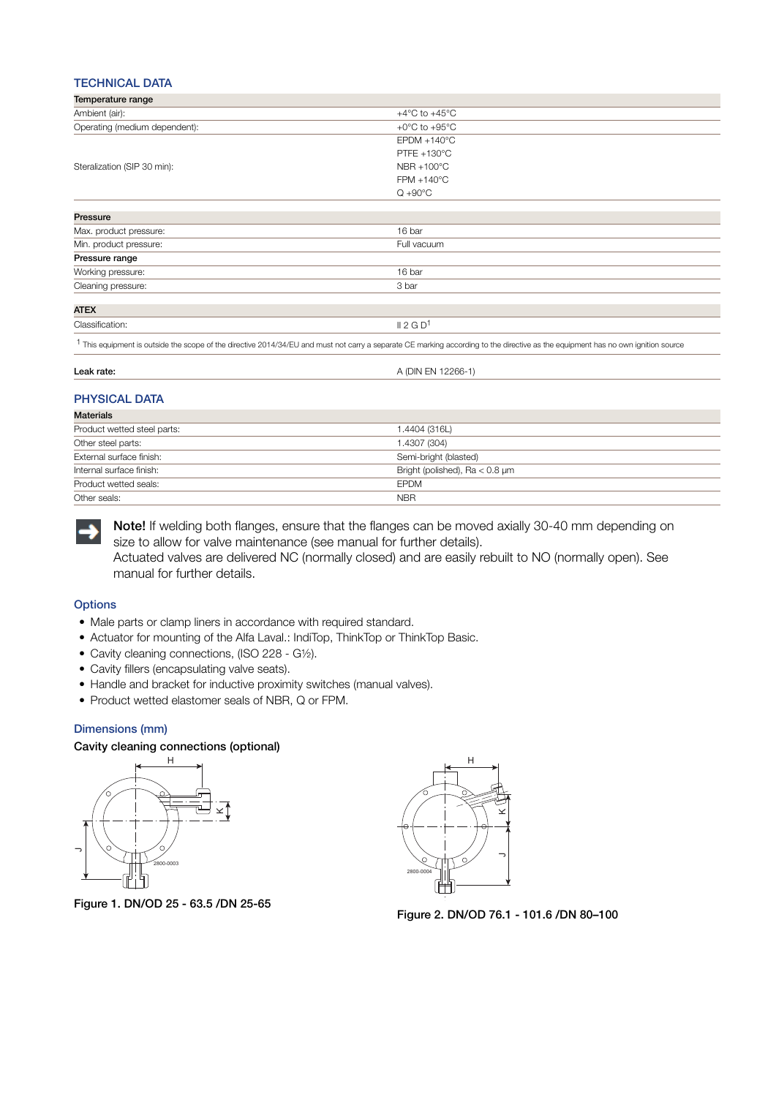## TECHNICAL DATA

| Temperature range             |                                                                                                                                                                                              |
|-------------------------------|----------------------------------------------------------------------------------------------------------------------------------------------------------------------------------------------|
| Ambient (air):                | $+4^{\circ}$ C to $+45^{\circ}$ C                                                                                                                                                            |
| Operating (medium dependent): | +0 $\rm{^{\circ}C}$ to +95 $\rm{^{\circ}C}$                                                                                                                                                  |
|                               | $E$ PDM +140 $^{\circ}$ C                                                                                                                                                                    |
|                               | PTFE $+130^{\circ}$ C                                                                                                                                                                        |
| Steralization (SIP 30 min):   | $NBR + 100^{\circ}C$                                                                                                                                                                         |
|                               | $FPM + 140^{\circ}C$                                                                                                                                                                         |
|                               | $Q + 90^{\circ}C$                                                                                                                                                                            |
| Pressure                      |                                                                                                                                                                                              |
| Max. product pressure:        | 16 bar                                                                                                                                                                                       |
| Min. product pressure:        | Full vacuum                                                                                                                                                                                  |
| Pressure range                |                                                                                                                                                                                              |
| Working pressure:             | 16 bar                                                                                                                                                                                       |
| Cleaning pressure:            | 3 bar                                                                                                                                                                                        |
| <b>ATEX</b>                   |                                                                                                                                                                                              |
| Classification:               | II 2 G D <sup>1</sup>                                                                                                                                                                        |
|                               | <sup>1</sup> This equipment is outside the scope of the directive 2014/34/EU and must not carry a separate CE marking according to the directive as the equipment has no own ignition source |

| еа<br>ЯТЕ. | . מור<br>~~<br>・ハーレ<br>$\sim$ $\sim$ $\sim$ |
|------------|---------------------------------------------|
|            |                                             |

## PHYSICAL DATA

| <b>Materials</b>            |                                     |
|-----------------------------|-------------------------------------|
| Product wetted steel parts: | 1.4404 (316L)                       |
| Other steel parts:          | 1.4307 (304)                        |
| External surface finish:    | Semi-bright (blasted)               |
| Internal surface finish:    | Bright (polished), $Ra < 0.8 \mu m$ |
| Product wetted seals:       | <b>EPDM</b>                         |
| Other seals:                | <b>NBR</b>                          |



Note! If welding both flanges, ensure that the flanges can be moved axially 30-40 mm depending on size to allow for valve maintenance (see manual for further details). Actuated valves are delivered NC (normally closed) and are easily rebuilt to NO (normally open). See

manual for further details.

## **Options**

- Male parts or clamp liners in accordance with required standard.
- Actuator for mounting of the Alfa Laval.: IndiTop, ThinkTop or ThinkTop Basic.
- Cavity cleaning connections, (ISO 228 G½).
- Cavity fillers (encapsulating valve seats).
- Handle and bracket for inductive proximity switches (manual valves).
- Product wetted elastomer seals of NBR, Q or FPM.

## Dimensions (mm)

#### Cavity cleaning connections (optional)



Figure 1. DN/OD 25 - 63.5 /DN 25-65



Figure 2. DN/OD 76.1 - 101.6 /DN 80–100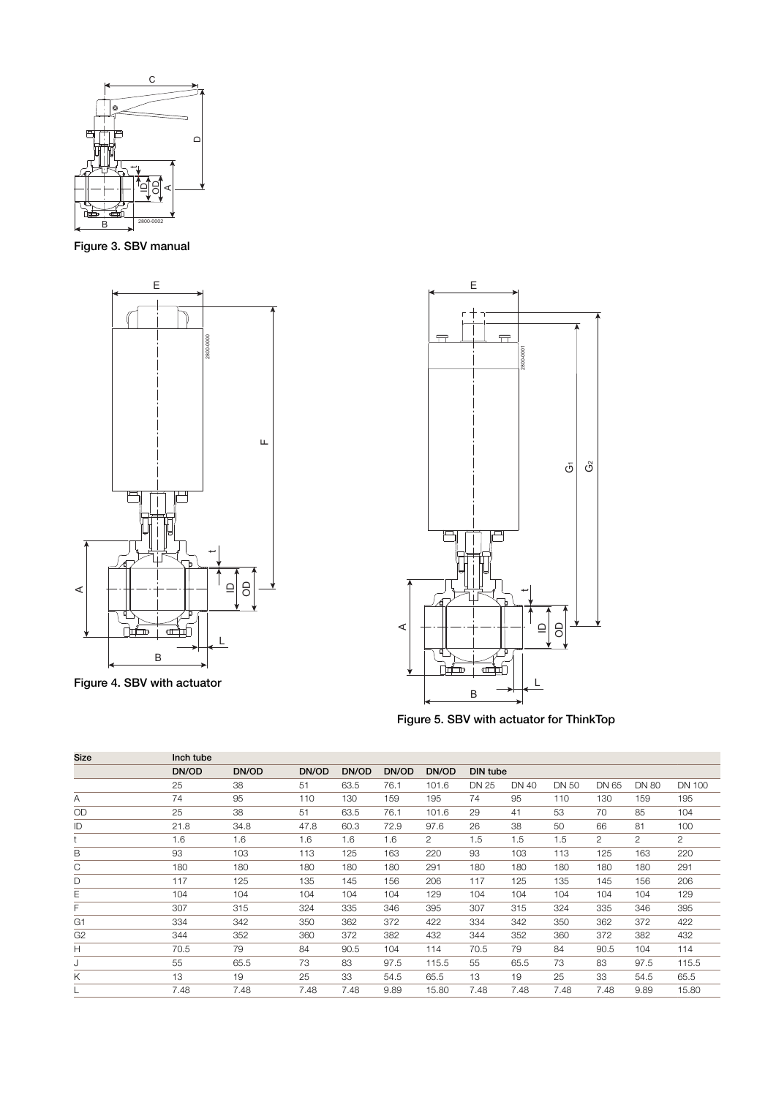

Figure 3. SBV manual



Figure 4. SBV with actuator



Figure 5. SBV with actuator for ThinkTop

| <b>Size</b>    | Inch tube |       |       |       |       |                |                 |       |       |                |              |                |
|----------------|-----------|-------|-------|-------|-------|----------------|-----------------|-------|-------|----------------|--------------|----------------|
|                | DN/OD     | DN/OD | DN/OD | DN/OD | DN/OD | DN/OD          | <b>DIN tube</b> |       |       |                |              |                |
|                | 25        | 38    | 51    | 63.5  | 76.1  | 101.6          | DN 25           | DN 40 | DN 50 | DN 65          | <b>DN 80</b> | <b>DN 100</b>  |
| Α              | 74        | 95    | 110   | 130   | 159   | 195            | 74              | 95    | 110   | 130            | 159          | 195            |
| OD             | 25        | 38    | 51    | 63.5  | 76.1  | 101.6          | 29              | 41    | 53    | 70             | 85           | 104            |
| ID             | 21.8      | 34.8  | 47.8  | 60.3  | 72.9  | 97.6           | 26              | 38    | 50    | 66             | 81           | 100            |
|                | 1.6       | 1.6   | 1.6   | 1.6   | 1.6   | $\overline{2}$ | 1.5             | 1.5   | 1.5   | $\overline{2}$ | 2            | $\overline{2}$ |
| B              | 93        | 103   | 113   | 125   | 163   | 220            | 93              | 103   | 113   | 125            | 163          | 220            |
| С              | 180       | 180   | 180   | 180   | 180   | 291            | 180             | 180   | 180   | 180            | 180          | 291            |
| D              | 117       | 125   | 135   | 145   | 156   | 206            | 117             | 125   | 135   | 145            | 156          | 206            |
| Ε              | 104       | 104   | 104   | 104   | 104   | 129            | 104             | 104   | 104   | 104            | 104          | 129            |
| F              | 307       | 315   | 324   | 335   | 346   | 395            | 307             | 315   | 324   | 335            | 346          | 395            |
| G <sub>1</sub> | 334       | 342   | 350   | 362   | 372   | 422            | 334             | 342   | 350   | 362            | 372          | 422            |
| G <sub>2</sub> | 344       | 352   | 360   | 372   | 382   | 432            | 344             | 352   | 360   | 372            | 382          | 432            |
| Н              | 70.5      | 79    | 84    | 90.5  | 104   | 114            | 70.5            | 79    | 84    | 90.5           | 104          | 114            |
| J              | 55        | 65.5  | 73    | 83    | 97.5  | 115.5          | 55              | 65.5  | 73    | 83             | 97.5         | 115.5          |
| Κ              | 13        | 19    | 25    | 33    | 54.5  | 65.5           | 13              | 19    | 25    | 33             | 54.5         | 65.5           |
|                | 7.48      | 7.48  | 7.48  | 7.48  | 9.89  | 15.80          | 7.48            | 7.48  | 7.48  | 7.48           | 9.89         | 15.80          |